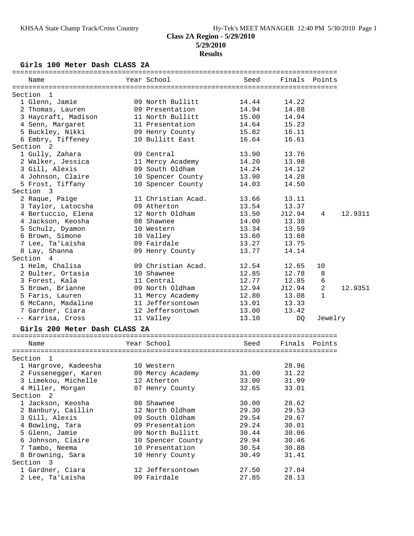#### **Girls 100 Meter Dash CLASS 2A**

| Name                               | Year School        | Seed  |               | Finals Points  |         |
|------------------------------------|--------------------|-------|---------------|----------------|---------|
| Section<br>$\mathbf{1}$            |                    |       |               |                |         |
| 1 Glenn, Jamie                     | 09 North Bullitt   | 14.44 | 14.22         |                |         |
| 2 Thomas, Lauren                   | 09 Presentation    | 14.94 | 14.88         |                |         |
| 3 Haycraft, Madison                | 11 North Bullitt   | 15.00 | 14.94         |                |         |
| 4 Senn, Margaret                   | 11 Presentation    | 14.64 | 15.23         |                |         |
| 5 Buckley, Nikki                   | 09 Henry County    | 15.82 | 16.11         |                |         |
| 6 Embry, Tiffeney                  | 10 Bullitt East    | 16.64 | 16.61         |                |         |
| Section 2                          |                    |       |               |                |         |
| 1 Gully, Zahara                    | 09 Central         | 13.90 | 13.76         |                |         |
| 2 Walker, Jessica                  | 11 Mercy Academy   | 14.20 | 13.98         |                |         |
| 3 Gill, Alexis                     | 09 South Oldham    | 14.24 | 14.12         |                |         |
| 4 Johnson, Claire                  | 10 Spencer County  | 13.90 | 14.28         |                |         |
| 5 Frost, Tiffany                   | 10 Spencer County  | 14.03 | 14.50         |                |         |
| Section 3                          |                    |       |               |                |         |
| 2 Raque, Paige                     | 11 Christian Acad. | 13.66 | 13.11         |                |         |
| 3 Taylor, Latocsha                 | 09 Atherton        | 13.54 | 13.37         |                |         |
| 4 Bertuccio, Elena                 | 12 North Oldham    | 13.50 | J12.94        | 4              | 12.9311 |
| 4 Jackson, Keosha                  | 08 Shawnee         | 14.00 | 13.38         |                |         |
| 5 Schulz, Dyamon                   | 10 Western         | 13.34 | 13.59         |                |         |
| 6 Brown, Simone                    | 10 Valley          | 13.60 | 13.68         |                |         |
| 7 Lee, Ta'Laisha                   | 09 Fairdale        | 13.27 | 13.75         |                |         |
| 8 Lay, Shanna                      | 09 Henry County    | 13.77 | 14.14         |                |         |
| Section<br>$\overline{4}$          |                    |       |               |                |         |
| 1 Helm, Chalisa                    | 09 Christian Acad. | 12.54 | 12.65         | 10             |         |
| 2 Bulter, Ortasia                  | 10 Shawnee         | 12.85 | 12.78         | 8              |         |
| 3 Forest, Kala                     | 11 Central         | 12.77 | 12.85         | 6              |         |
| 5 Brown, Brianne                   | 09 North Oldham    | 12.94 | J12.94        | $\overline{a}$ | 12.9351 |
| 5 Faris, Lauren                    | 11 Mercy Academy   | 12.80 | 13.08         | $\mathbf{1}$   |         |
| 6 McCann, Madaline                 | 11 Jeffersontown   | 13.01 | 13.33         |                |         |
| 7 Gardner, Ciara                   | 12 Jeffersontown   | 13.00 | 13.42         |                |         |
| -- Karrisa, Cross                  | 11 Valley          | 13.10 | DQ            | Jewelry        |         |
|                                    |                    |       |               |                |         |
| Girls 200 Meter Dash CLASS 2A      |                    |       |               |                |         |
| Name                               | Year School        | Seed  | Finals Points |                |         |
|                                    |                    |       |               |                |         |
| Section<br>- 1                     |                    |       |               |                |         |
| 1 Hargrove, Kadeesha               | 10 Western         |       | 28.96         |                |         |
| 2 Fussenegger, Karen               | 09 Mercy Academy   | 31.00 | 31.22         |                |         |
| 3 Limekou, Michelle                | 12 Atherton        | 33.00 | 31.99         |                |         |
| 4 Miller, Morgan                   | 07 Henry County    | 32.65 | 33.01         |                |         |
| Section <sub>2</sub>               |                    |       |               |                |         |
| 1 Jackson, Keosha                  | 08 Shawnee         | 30.00 | 28.62         |                |         |
| 2 Banbury, Caillin                 | 12 North Oldham    | 29.30 | 29.53         |                |         |
| 3 Gill, Alexis                     | 09 South Oldham    | 29.54 | 29.67         |                |         |
| 4 Bowling, Tara                    | 09 Presentation    | 29.24 | 30.01         |                |         |
| 5 Glenn, Jamie                     | 09 North Bullitt   | 30.44 | 30.06         |                |         |
| 6 Johnson, Claire                  | 10 Spencer County  | 29.94 | 30.46         |                |         |
| 7 Tambo, Neema                     | 10 Presentation    | 30.54 | 30.88         |                |         |
| 8 Browning, Sara                   | 10 Henry County    | 30.49 | 31.41         |                |         |
| Section<br>$\overline{\mathbf{3}}$ |                    |       |               |                |         |
| 1 Gardner, Ciara                   | 12 Jeffersontown   | 27.50 | 27.84         |                |         |
| 2 Lee, Ta'Laisha                   | 09 Fairdale        | 27.85 | 28.13         |                |         |
|                                    |                    |       |               |                |         |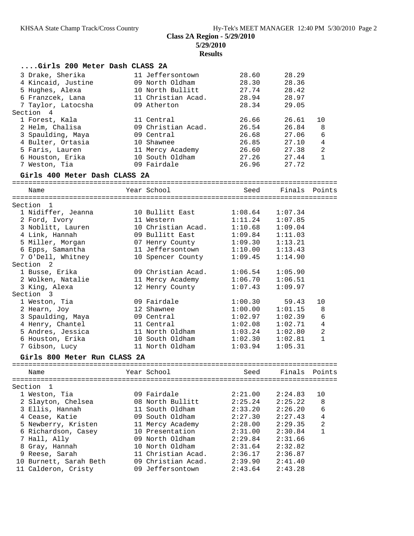**Class 2A Region - 5/29/2010**

**5/29/2010**

**Results**

| Girls 200 Meter Dash CLASS 2A              |                                     |                    |                    |                                |
|--------------------------------------------|-------------------------------------|--------------------|--------------------|--------------------------------|
| 3 Drake, Sherika                           | 11 Jeffersontown                    | 28.60              | 28.29              |                                |
| 4 Kincaid, Justine                         | 09 North Oldham                     | 28.30              | 28.36              |                                |
| 5 Hughes, Alexa                            | 10 North Bullitt                    | 27.74              | 28.42              |                                |
| 6 Franzcek, Lana                           | 11 Christian Acad.                  | 28.94              | 28.97              |                                |
| 7 Taylor, Latocsha                         | 09 Atherton                         | 28.34              | 29.05              |                                |
| Section 4                                  |                                     |                    |                    |                                |
| 1 Forest, Kala                             | 11 Central                          | 26.66              | 26.61              | 10                             |
| 2 Helm, Chalisa                            | 09 Christian Acad.                  | 26.54              | 26.84              | 8                              |
| 3 Spaulding, Maya                          | 09 Central                          | 26.68              | 27.06              | 6                              |
| 4 Bulter, Ortasia                          | 10 Shawnee                          | 26.85              | 27.10              | 4                              |
| 5 Faris, Lauren                            | 11 Mercy Academy                    | 26.60              | 27.38              | 2                              |
| 6 Houston, Erika                           | 10 South Oldham                     | 27.26              | 27.44              | $\mathbf{1}$                   |
| 7 Weston, Tia                              | 09 Fairdale                         | 26.96              | 27.72              |                                |
| Girls 400 Meter Dash CLASS 2A              |                                     |                    |                    |                                |
| Name                                       | Year School                         | Seed               | Finals Points      |                                |
|                                            |                                     |                    |                    |                                |
| Section 1                                  |                                     |                    |                    |                                |
| 1 Nidiffer, Jeanna                         | 10 Bullitt East                     | 1:08.64            | 1:07.34            |                                |
| 2 Ford, Ivory                              | 11 Western                          | 1:11.24            | 1:07.85            |                                |
| 3 Noblitt, Lauren                          | 10 Christian Acad.                  | 1:10.68            | 1:09.04            |                                |
| 4 Link, Hannah                             | 09 Bullitt East                     | 1:09.84            | 1:11.03            |                                |
| 5 Miller, Morgan                           | 07 Henry County                     | 1:09.30            | 1:13.21            |                                |
| 6 Epps, Samantha                           | 11 Jeffersontown                    | 1:10.00            | 1:13.43            |                                |
| 7 O'Dell, Whitney                          | 10 Spencer County                   | 1:09.45            | 1:14.90            |                                |
| Section 2                                  |                                     |                    |                    |                                |
| 1 Busse, Erika                             | 09 Christian Acad.                  | 1:06.54            | 1:05.90            |                                |
| 2 Wolken, Natalie                          | 11 Mercy Academy                    | 1:06.70            | 1:06.51            |                                |
| 3 King, Alexa                              | 12 Henry County                     | 1:07.43            | 1:09.97            |                                |
| Section 3                                  |                                     |                    |                    |                                |
| 1 Weston, Tia                              | 09 Fairdale                         | 1:00.30            | 59.43              | 10                             |
| 2 Hearn, Joy                               | 12 Shawnee                          | 1:00.00            | 1:01.15            | 8                              |
| 3 Spaulding, Maya                          | 09 Central                          | 1:02.97            | 1:02.39            | 6                              |
| 4 Henry, Chantel                           | 11 Central<br>11 North Oldham       | 1:02.08            | 1:02.71            | 4                              |
| 5 Andres, Jessica                          | 10 South Oldham                     | 1:03.24            | 1:02.80            | $\overline{c}$<br>$\mathbf{1}$ |
| 6 Houston, Erika<br>7 Gibson, Lucy         | 11 North Oldham                     | 1:02.30<br>1:03.94 | 1:02.81<br>1:05.31 |                                |
|                                            |                                     |                    |                    |                                |
| Girls 800 Meter Run CLASS 2A<br>========== | =====================               |                    |                    |                                |
| Name                                       | Year School                         | Seed               | Finals             | Points                         |
|                                            |                                     |                    |                    |                                |
| Section<br>1                               |                                     |                    |                    |                                |
| 1 Weston, Tia                              | 09 Fairdale                         | 2:21.00            | 2:24.83            | 10                             |
| 2 Slayton, Chelsea                         | 08 North Bullitt<br>11 South Oldham | 2:25.24<br>2:33.20 | 2:25.22<br>2:26.20 | 8<br>6                         |
| 3 Ellis, Hannah<br>4 Cease, Katie          | 09 South Oldham                     | 2:27.30            | 2:27.43            | $\overline{4}$                 |
| 5 Newberry, Kristen                        | 11 Mercy Academy                    | 2:28.00            | 2:29.35            | $\sqrt{2}$                     |
| 6 Richardson, Casey                        | 10 Presentation                     | 2:31.00            | 2:30.84            | 1                              |
| 7 Hall, Ally                               | 09 North Oldham                     | 2:29.84            | 2:31.66            |                                |
| 8 Gray, Hannah                             | 10 North Oldham                     | 2:31.64            | 2:32.82            |                                |
| 9 Reese, Sarah                             | 11 Christian Acad.                  | 2:36.17            | 2:36.87            |                                |
| 10 Burnett, Sarah Beth                     | 09 Christian Acad.                  | 2:39.90            | 2:41.40            |                                |
| 11 Calderon, Cristy                        | 09 Jeffersontown                    | 2:43.64            | 2:43.28            |                                |
|                                            |                                     |                    |                    |                                |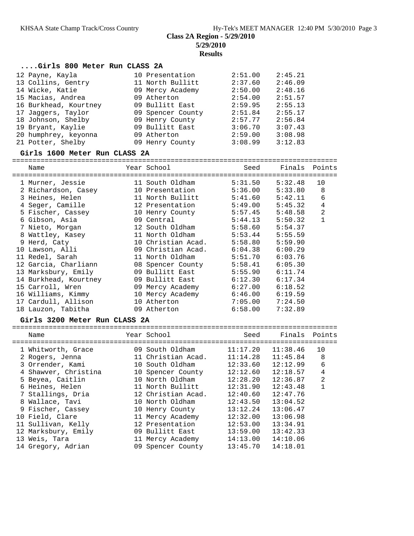### **Class 2A Region - 5/29/2010 5/29/2010**

**Results**

#### **....Girls 800 Meter Run CLASS 2A**

| 12 Payne, Kayla       | 10 Presentation   | 2:51.00 | 2:45.21 |
|-----------------------|-------------------|---------|---------|
| 13 Collins, Gentry    | 11 North Bullitt  | 2:37.60 | 2:46.09 |
| 14 Wicke, Katie       | 09 Mercy Academy  | 2:50.00 | 2:48.16 |
| 15 Macias, Andrea     | 09 Atherton       | 2:54.00 | 2:51.57 |
| 16 Burkhead, Kourtney | 09 Bullitt East   | 2:59.95 | 2:55.13 |
| 17 Jaqqers, Taylor    | 09 Spencer County | 2:51.84 | 2:55.17 |
| 18 Johnson, Shelby    | 09 Henry County   | 2:57.77 | 2:56.84 |
| 19 Bryant, Kaylie     | 09 Bullitt East   | 3:06.70 | 3:07.43 |
| 20 humphrey, keyonna  | 09 Atherton       | 2:59.00 | 3:08.98 |
| 21 Potter, Shelby     | 09 Henry County   | 3:08.99 | 3:12.83 |

#### **Girls 1600 Meter Run CLASS 2A**

================================================================================

| Name                  | Year School        | Seed    | Finals  | Points         |
|-----------------------|--------------------|---------|---------|----------------|
| 1 Murner, Jessie      | 11 South Oldham    | 5:31.50 | 5:32.48 | 10             |
| 2 Richardson, Casey   | 10 Presentation    | 5:36.00 | 5:33.80 | 8              |
| 3 Heines, Helen       | 11 North Bullitt   | 5:41.60 | 5:42.11 | 6              |
| 4 Seger, Camille      | 12 Presentation    | 5:49.00 | 5:45.32 | $\overline{4}$ |
| 5 Fischer, Cassey     | 10 Henry County    | 5:57.45 | 5:48.58 | $\overline{2}$ |
| 6 Gibson, Asia        | 09 Central         | 5:44.13 | 5:50.32 | $\mathbf{1}$   |
| 7 Nieto, Morgan       | 12 South Oldham    | 5:58.60 | 5:54.37 |                |
| 8 Wattley, Kasey      | 11 North Oldham    | 5:53.44 | 5:55.59 |                |
| 9 Herd, Caty          | 10 Christian Acad. | 5:58.80 | 5:59.90 |                |
| 10 Lawson, Alli       | 09 Christian Acad. | 6:04.38 | 6:00.29 |                |
| 11 Redel, Sarah       | 11 North Oldham    | 5:51.70 | 6:03.76 |                |
| 12 Garcia, Charliann  | 08 Spencer County  | 5:58.41 | 6:05.30 |                |
| 13 Marksbury, Emily   | 09 Bullitt East    | 5:55.90 | 6:11.74 |                |
| 14 Burkhead, Kourtney | 09 Bullitt East    | 6:12.30 | 6:17.34 |                |
| 15 Carroll, Wren      | 09 Mercy Academy   | 6:27.00 | 6:18.52 |                |
| 16 Williams, Kimmy    | 10 Mercy Academy   | 6:46.00 | 6:19.59 |                |
| 17 Cardull, Allison   | 10 Atherton        | 7:05.00 | 7:24.50 |                |
| 18 Lauzon, Tabitha    | 09 Atherton        | 6:58.00 | 7:32.89 |                |

#### **Girls 3200 Meter Run CLASS 2A**

| Name                 | Year School        | Seed     | Finals Points |                |
|----------------------|--------------------|----------|---------------|----------------|
| 1 Whitworth, Grace   | 09 South Oldham    | 11:17.20 | 11:38.46      | 10             |
| 2 Rogers, Jenna      | 11 Christian Acad. | 11:14.28 | 11:45.84      | 8              |
| 3 Orrender, Kami     | 10 South Oldham    | 12:33.60 | 12:12.99      | 6              |
| 4 Shawver, Christina | 10 Spencer County  | 12:12.60 | 12:18.57      | 4              |
| 5 Beyea, Caitlin     | 10 North Oldham    | 12:28.20 | 12:36.87      | $\overline{2}$ |
| 6 Heines, Helen      | 11 North Bullitt   | 12:31.90 | 12:43.48      |                |
| 7 Stallings, Dria    | 12 Christian Acad. | 12:40.60 | 12:47.76      |                |
| 8 Wallace, Tavi      | 10 North Oldham    | 12:43.50 | 13:04.52      |                |
| 9 Fischer, Cassey    | 10 Henry County    | 13:12.24 | 13:06.47      |                |
| 10 Field, Clare      | 11 Mercy Academy   | 12:32.00 | 13:06.98      |                |
| 11 Sullivan, Kelly   | 12 Presentation    | 12:53.00 | 13:34.91      |                |
| 12 Marksbury, Emily  | 09 Bullitt East    | 13:59.00 | 13:42.33      |                |
| 13 Weis, Tara        | 11 Mercy Academy   | 14:13.00 | 14:10.06      |                |
| 14 Gregory, Adrian   | 09 Spencer County  | 13:45.70 | 14:18.01      |                |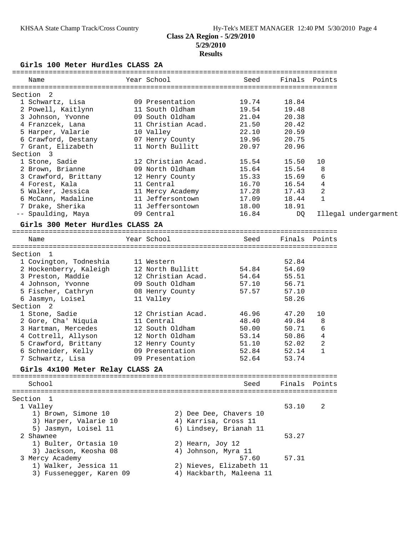#### KHSAA State Champ Track/Cross Country Hy-Tek's MEET MANAGER 12:40 PM 5/30/2010 Page 4 **Class 2A Region - 5/29/2010 5/29/2010**

#### **Results**

**Girls 100 Meter Hurdles CLASS 2A**

| Name                                                                                                 | Year School                          | Seed                     |                | Finals Points     |                      |
|------------------------------------------------------------------------------------------------------|--------------------------------------|--------------------------|----------------|-------------------|----------------------|
|                                                                                                      |                                      |                          |                |                   |                      |
| Section 2                                                                                            |                                      |                          |                |                   |                      |
| 1 Schwartz, Lisa                                                                                     | 09 Presentation                      | 19.74                    | 18.84          |                   |                      |
| 2 Powell, Kaitlynn                                                                                   | 11 South Oldham                      | 19.54                    | 19.48          |                   |                      |
| 3 Johnson, Yvonne                                                                                    | 09 South Oldham                      | 21.04                    | 20.38          |                   |                      |
| 4 Franzcek, Lana                                                                                     | 11 Christian Acad.                   | 21.50                    | 20.42          |                   |                      |
| 5 Harper, Valarie                                                                                    | 10 Valley                            | 22.10                    | 20.59          |                   |                      |
| 6 Crawford, Destany            07 Henry County<br>7 Grant, Elizabeth                11 North Bullitt |                                      | 19.96                    | 20.75          |                   |                      |
| Section 3                                                                                            | 11 North Bullitt                     | 20.97                    | 20.96          |                   |                      |
|                                                                                                      | 12 Christian Acad.                   |                          |                |                   |                      |
| 1 Stone, Sadie                                                                                       |                                      | 15.54                    | 15.50<br>15.54 | 10<br>8           |                      |
| 2 Brown, Brianne                                                                                     | 09 North Oldham                      | 15.64                    |                |                   |                      |
| 3 Crawford, Brittany 12 Henry County                                                                 |                                      | 15.33                    | 15.69          | 6                 |                      |
| 4 Forest, Kala                                                                                       | 11 Central                           | 16.70                    | 16.54          | $\overline{4}$    |                      |
| 5 Walker, Jessica<br>6 McCann, Madaline                                                              | 11 Mercy Academy<br>11 Jeffersontown | 17.28<br>17.09           | 17.43          | 2<br>$\mathbf{1}$ |                      |
| 7 Drake, Sherika                                                                                     | 11 Jeffersontown                     |                          | 18.44          |                   |                      |
|                                                                                                      |                                      | 18.00                    | 18.91          |                   |                      |
| -- Spaulding, Maya                         09 Central                                                |                                      | 16.84                    | DQ             |                   | Illegal undergarment |
| Girls 300 Meter Hurdles CLASS 2A                                                                     |                                      |                          |                |                   |                      |
| Name                                                                                                 | Year School                          | Seed                     |                | Finals Points     |                      |
|                                                                                                      |                                      |                          |                |                   |                      |
| Section 1                                                                                            |                                      |                          |                |                   |                      |
| 1 Covington, Todneshia                                                                               | 11 Western                           | 54.84                    | 52.84          |                   |                      |
| 2 Hockenberry, Kaleigh                                                                               | 12 North Bullitt                     |                          | 54.69          |                   |                      |
| 3 Preston, Maddie                                                                                    | 12 Christian Acad.                   | 54.64                    | 55.51          |                   |                      |
| 4 Johnson, Yvonne                                                                                    | 09 South Oldham                      | 57.10                    | 56.71          |                   |                      |
| 5 Fischer, Cathryn             08 Henry County                                                       |                                      | 57.57                    | 57.10          |                   |                      |
| 6 Jasmyn, Loisel                                                                                     | 11 Valley                            |                          | 58.26          |                   |                      |
| Section <sub>2</sub>                                                                                 |                                      |                          |                |                   |                      |
| 1 Stone, Sadie                                                                                       | 12 Christian Acad.                   | 46.96                    | 47.20          | 10                |                      |
| 2 Gore, Cha' Niquia                                                                                  | 11 Central                           | 48.40                    | 49.84          | 8                 |                      |
| 3 Hartman, Mercedes                                                                                  | 12 South Oldham                      | 50.00                    | 50.71          | 6                 |                      |
| 4 Cottrell, Allyson                                                                                  | 12 North Oldham                      | 53.14                    | 50.86          | 4                 |                      |
| 5 Crawford, Brittany 12 Henry County                                                                 |                                      | 51.10                    | 52.02          | 2                 |                      |
| 6 Schneider, Kelly                                                                                   | 09 Presentation                      | 52.84                    | 52.14          | $\mathbf{1}$      |                      |
| 7 Schwartz, Lisa                                                                                     | 09 Presentation                      | 52.64                    | 53.74          |                   |                      |
| Girls 4x100 Meter Relay CLASS 2A                                                                     |                                      |                          |                |                   |                      |
| School                                                                                               |                                      | Seed                     | Finals         | Points            |                      |
|                                                                                                      |                                      |                          |                |                   |                      |
| Section 1                                                                                            |                                      |                          |                |                   |                      |
| 1 Valley                                                                                             |                                      |                          | 53.10          | 2                 |                      |
| 1) Brown, Simone 10                                                                                  |                                      | 2) Dee Dee, Chavers 10   |                |                   |                      |
| 3) Harper, Valarie 10                                                                                | 4) Karrisa, Cross 11                 |                          |                |                   |                      |
| 5) Jasmyn, Loisel 11                                                                                 |                                      | 6) Lindsey, Brianah 11   |                |                   |                      |
| 2 Shawnee                                                                                            |                                      |                          | 53.27          |                   |                      |
| 1) Bulter, Ortasia 10                                                                                | 2) Hearn, Joy 12                     |                          |                |                   |                      |
| 3) Jackson, Keosha 08                                                                                | 4) Johnson, Myra 11                  |                          |                |                   |                      |
| 3 Mercy Academy                                                                                      |                                      | 57.60                    | 57.31          |                   |                      |
| 1) Walker, Jessica 11                                                                                |                                      | 2) Nieves, Elizabeth 11  |                |                   |                      |
| 3) Fussenegger, Karen 09                                                                             |                                      | 4) Hackbarth, Maleena 11 |                |                   |                      |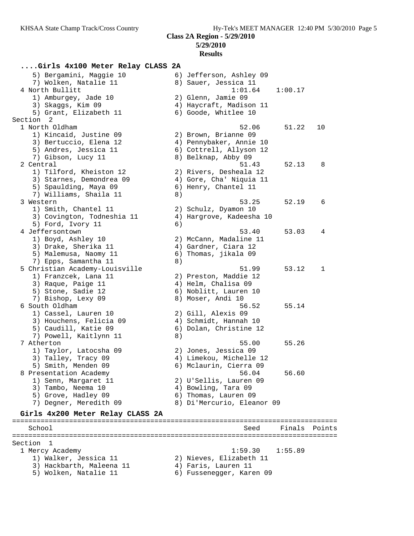**Class 2A Region - 5/29/2010 5/29/2010**

## **Results**

## **....Girls 4x100 Meter Relay CLASS 2A**

 5) Bergamini, Maggie 10 6) Jefferson, Ashley 09 7) Wolken, Natalie 11  $\hskip10mm 8)$  Sauer, Jessica 11 4 North Bullitt 1:01.64 1:00.17 1) Amburgey, Jade 10 2) Glenn, Jamie 09 3) Skaggs, Kim 09 4) Haycraft, Madison 11 5) Grant, Elizabeth 11 (6) Goode, Whitlee 10 Section 2<br>1 North Oldham 1 North Oldham 52.06 51.22 10 1) Kincaid, Justine 09 2) Brown, Brianne 09 3) Bertuccio, Elena 12 4) Pennybaker, Annie 10 5) Andres, Jessica 11 6) Cottrell, Allyson 12 7) Gibson, Lucy 11 8) Belknap, Abby 09 2 Central 51.43 52.13 8 1) Tilford, Kheiston 12 2) Rivers, Desheala 12 3) Starnes, Demondrea 09 4) Gore, Cha' Niquia 11 5) Spaulding, Maya 09 6) Henry, Chantel 11 7) Williams, Shaila 11 8) 3 Western 53.25 52.19 6 1) Smith, Chantel 11 2) Schulz, Dyamon 10 3) Covington, Todneshia 11 4) Hargrove, Kadeesha 10 5) Ford, Ivory 11 6) 4 Jeffersontown 53.40 53.03 4 1) Boyd, Ashley 10 2) McCann, Madaline 11 3) Drake, Sherika 11 (4) Gardner, Ciara 12 5) Malemusa, Naomy 11 6) Thomas, jikala 09 7) Epps, Samantha 11 and 8) 5 Christian Academy-Louisville 51.99 53.12 1 1) Franzcek, Lana 11 2) Preston, Maddie 12 3) Raque, Paige 11 (4) Helm, Chalisa 09 5) Stone, Sadie 12 6) Noblitt, Lauren 10 7) Bishop, Lexy 09 8) Moser, Andi 10 6 South Oldham 56.52 55.14 1) Cassel, Lauren 10 2) Gill, Alexis 09 3) Houchens, Felicia 09 4) Schmidt, Hannah 10 5) Caudill, Katie 09 6) Dolan, Christine 12 7) Powell, Kaitlynn 11 8) 7 Atherton 55.00 55.26 1) Taylor, Latocsha 09 2) Jones, Jessica 09 3) Talley, Tracy 09 4) Limekou, Michelle 12 5) Smith, Menden 09 6) Mclaurin, Cierra 09 8 Presentation Academy 56.04 56.60 1) Senn, Margaret 11 2) U'Sellis, Lauren 09 3) Tambo, Neema 10  $\hskip 1.6cm 4$  Bowling, Tara 09 5) Grove, Hadley 09 6) Thomas, Lauren 09 7) Degner, Meredith 09 8) Di'Mercurio, Eleanor 09 **Girls 4x200 Meter Relay CLASS 2A**

================================================================================ School Seed Finals Points ================================================================================ Section 1<br>1 Mercy Academy 1 Mercy Academy 1:59.30 1:55.89 1) Walker, Jessica 11 2) Nieves, Elizabeth 11 3) Hackbarth, Maleena 11  $\qquad \qquad$  4) Faris, Lauren 11 5) Wolken, Natalie 11 6) Fussenegger, Karen 09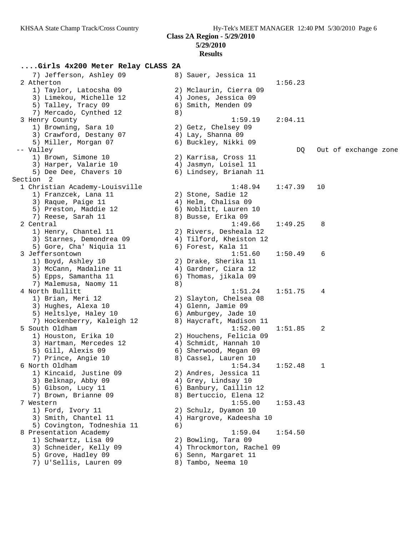**Class 2A Region - 5/29/2010**

#### **5/29/2010**

## **Results**

| Girls 4x200 Meter Relay CLASS 2A |    |                            |         |              |                      |
|----------------------------------|----|----------------------------|---------|--------------|----------------------|
| 7) Jefferson, Ashley 09          |    | 8) Sauer, Jessica 11       |         |              |                      |
| 2 Atherton                       |    |                            | 1:56.23 |              |                      |
| 1) Taylor, Latocsha 09           |    | 2) Mclaurin, Cierra 09     |         |              |                      |
| 3) Limekou, Michelle 12          |    | 4) Jones, Jessica 09       |         |              |                      |
| 5) Talley, Tracy 09              |    | 6) Smith, Menden 09        |         |              |                      |
| 7) Mercado, Cynthed 12           | 8) |                            |         |              |                      |
| 3 Henry County                   |    | 1:59.19                    | 2:04.11 |              |                      |
| 1) Browning, Sara 10             |    | 2) Getz, Chelsey 09        |         |              |                      |
| 3) Crawford, Destany 07          |    | 4) Lay, Shanna 09          |         |              |                      |
| 5) Miller, Morgan 07             |    | 6) Buckley, Nikki 09       |         |              |                      |
| -- Valley                        |    |                            | DQ      |              | Out of exchange zone |
| 1) Brown, Simone 10              |    | 2) Karrisa, Cross 11       |         |              |                      |
| 3) Harper, Valarie 10            |    | 4) Jasmyn, Loisel 11       |         |              |                      |
| 5) Dee Dee, Chavers 10           |    | 6) Lindsey, Brianah 11     |         |              |                      |
| Section 2                        |    |                            |         |              |                      |
| 1 Christian Academy-Louisville   |    | 1:48.94                    | 1:47.39 | 10           |                      |
| 1) Franzcek, Lana 11             |    | 2) Stone, Sadie 12         |         |              |                      |
| 3) Raque, Paige 11               |    | 4) Helm, Chalisa 09        |         |              |                      |
| 5) Preston, Maddie 12            |    | 6) Noblitt, Lauren 10      |         |              |                      |
| 7) Reese, Sarah 11               |    | 8) Busse, Erika 09         |         |              |                      |
| 2 Central                        |    | 1:49.66                    | 1:49.25 | 8            |                      |
| 1) Henry, Chantel 11             |    | 2) Rivers, Desheala 12     |         |              |                      |
| 3) Starnes, Demondrea 09         |    | 4) Tilford, Kheiston 12    |         |              |                      |
| 5) Gore, Cha' Niquia 11          |    | 6) Forest, Kala 11         |         |              |                      |
| 3 Jeffersontown                  |    | 1:51.60                    | 1:50.49 | 6            |                      |
| 1) Boyd, Ashley 10               |    | 2) Drake, Sherika 11       |         |              |                      |
| 3) McCann, Madaline 11           |    | 4) Gardner, Ciara 12       |         |              |                      |
| 5) Epps, Samantha 11             |    | 6) Thomas, jikala 09       |         |              |                      |
| 7) Malemusa, Naomy 11            | 8) |                            |         |              |                      |
| 4 North Bullitt                  |    | 1:51.24                    | 1:51.75 | 4            |                      |
| 1) Brian, Meri 12                |    | 2) Slayton, Chelsea 08     |         |              |                      |
| 3) Hughes, Alexa 10              |    | 4) Glenn, Jamie 09         |         |              |                      |
| 5) Heltslye, Haley 10            |    | 6) Amburgey, Jade 10       |         |              |                      |
| 7) Hockenberry, Kaleigh 12       |    | 8) Haycraft, Madison 11    |         |              |                      |
| 5 South Oldham                   |    | 1:52.00                    | 1:51.85 | 2            |                      |
| 1) Houston, Erika 10             |    | 2) Houchens, Felicia 09    |         |              |                      |
| 3) Hartman, Mercedes 12          |    | 4) Schmidt, Hannah 10      |         |              |                      |
| 5) Gill, Alexis 09               |    | 6) Sherwood, Megan 09      |         |              |                      |
| 7) Prince, Angie 10              |    | 8) Cassel, Lauren 10       |         |              |                      |
| 6 North Oldham                   |    | 1:54.34                    | 1:52.48 | $\mathbf{1}$ |                      |
| 1) Kincaid, Justine 09           |    | 2) Andres, Jessica 11      |         |              |                      |
| 3) Belknap, Abby 09              |    | 4) Grey, Lindsay 10        |         |              |                      |
| 5) Gibson, Lucy 11               |    | 6) Banbury, Caillin 12     |         |              |                      |
| 7) Brown, Brianne 09             |    | 8) Bertuccio, Elena 12     |         |              |                      |
| 7 Western                        |    | 1:55.00                    | 1:53.43 |              |                      |
| 1) Ford, Ivory 11                |    | 2) Schulz, Dyamon 10       |         |              |                      |
| 3) Smith, Chantel 11             |    | 4) Hargrove, Kadeesha 10   |         |              |                      |
| 5) Covington, Todneshia 11       | 6) |                            |         |              |                      |
| 8 Presentation Academy           |    | 1:59.04                    | 1:54.50 |              |                      |
| 1) Schwartz, Lisa 09             |    | 2) Bowling, Tara 09        |         |              |                      |
| 3) Schneider, Kelly 09           |    | 4) Throckmorton, Rachel 09 |         |              |                      |
| 5) Grove, Hadley 09              | 6) | Senn, Margaret 11          |         |              |                      |
| 7) U'Sellis, Lauren 09           | 8) | Tambo, Neema 10            |         |              |                      |
|                                  |    |                            |         |              |                      |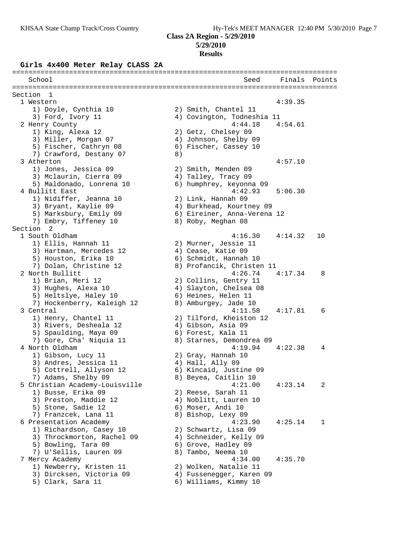## **5/29/2010**

#### **Results**

#### **Girls 4x400 Meter Relay CLASS 2A**

================================================================================ School Seed Finals Points ================================================================================ Section 1 1 Western 4:39.35 1) Doyle, Cynthia 10 2) Smith, Chantel 11 3) Ford, Ivory 11 4) Covington, Todneshia 11 2 Henry County 4:44.18 4:54.61 1) King, Alexa 12 2) Getz, Chelsey 09 3) Miller, Morgan 07 4) Johnson, Shelby 09 5) Fischer, Cathryn 08 6) Fischer, Cassey 10 7) Crawford, Destany 07 8) 3 Atherton 4:57.10 1) Jones, Jessica 09 2) Smith, Menden 09 3) Mclaurin, Cierra 09 4) Talley, Tracy 09 5) Maldonado, Lonrena 10 6) humphrey, keyonna 09 4 Bullitt East 4:42.93 5:06.30 1) Nidiffer, Jeanna 10 2) Link, Hannah 09 3) Bryant, Kaylie 09 4) Burkhead, Kourtney 09 5) Marksbury, Emily 09 6) Eireiner, Anna-Verena 12 7) Embry, Tiffeney 10 8) Roby, Meghan 08 Section 2<br>1 South Oldham 1 South Oldham 4:16.30 4:14.32 10 1) Ellis, Hannah 11 2) Murner, Jessie 11 3) Hartman, Mercedes 12 (4) Cease, Katie 09 5) Houston, Erika 10 6) Schmidt, Hannah 10 7) Dolan, Christine 12 8) Profancik, Christen 11 2 North Bullitt 4:26.74 4:17.34 8 1) Brian, Meri 12 2) Collins, Gentry 11 3) Hughes, Alexa 10 4) Slayton, Chelsea 08 5) Heltslye, Haley 10 (6) Heines, Helen 11 7) Hockenberry, Kaleigh 12 8) Amburgey, Jade 10 3 Central 4:11.58 4:17.81 6 1) Henry, Chantel 11 2) Tilford, Kheiston 12 3) Rivers, Desheala 12 4) Gibson, Asia 09 5) Spaulding, Maya 09 (6) Forest, Kala 11 7) Gore, Cha' Niquia 11 8) Starnes, Demondrea 09 4 North Oldham 4:19.94 4:22.38 4 1) Gibson, Lucy 11 2) Gray, Hannah 10 3) Andres, Jessica 11 (4) Hall, Ally 09 5) Cottrell, Allyson 12 6) Kincaid, Justine 09 7) Adams, Shelby 09 8) Beyea, Caitlin 10 5 Christian Academy-Louisville 4:21.00 4:23.14 2 1) Busse, Erika 09 2) Reese, Sarah 11 3) Preston, Maddie 12 4) Noblitt, Lauren 10 5) Stone, Sadie 12 (6) Moser, Andi 10 7) Franzcek, Lana 11 and 8) Bishop, Lexy 09 6 Presentation Academy 4:23.90 4:25.14 1 1) Richardson, Casey 10 2) Schwartz, Lisa 09 3) Throckmorton, Rachel 09 4) Schneider, Kelly 09 5) Bowling, Tara 09 6) Grove, Hadley 09 7) U'Sellis, Lauren 09  $\qquad \qquad 8)$  Tambo, Neema 10 7 Mercy Academy 4:34.00 4:35.70 1) Newberry, Kristen 11 2) Wolken, Natalie 11 3) Dircksen, Victoria 09 4) Fussenegger, Karen 09 5) Clark, Sara 11 6) Williams, Kimmy 10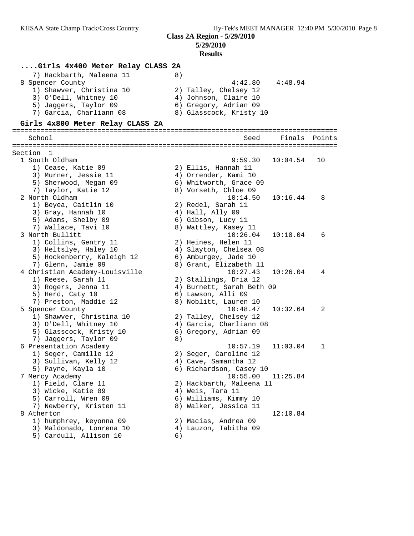#### **5/29/2010 Results**

## **....Girls 4x400 Meter Relay CLASS 2A**

| 7) Hackbarth, Maleena 11 | 8)                      |
|--------------------------|-------------------------|
| 8 Spencer County         | 4:48.94<br>4:42.80      |
| 1) Shawyer, Christina 10 | 2) Talley, Chelsey 12   |
| 3) O'Dell, Whitney 10    | 4) Johnson, Claire 10   |
| 5) Jaqqers, Taylor 09    | 6) Gregory, Adrian 09   |
| 7) Garcia, Charliann 08  | 8) Glasscock, Kristy 10 |

# **Girls 4x800 Meter Relay CLASS 2A**

| School                         |    | Seed                      | Finals   | Points       |
|--------------------------------|----|---------------------------|----------|--------------|
|                                |    |                           |          |              |
| Section 1                      |    |                           |          |              |
| 1 South Oldham                 |    | 9:59.30                   | 10:04.54 | 10           |
| 1) Cease, Katie 09             |    | 2) Ellis, Hannah 11       |          |              |
| 3) Murner, Jessie 11           |    | 4) Orrender, Kami 10      |          |              |
| 5) Sherwood, Megan 09          |    | 6) Whitworth, Grace 09    |          |              |
| 7) Taylor, Katie 12            |    | 8) Vorseth, Chloe 09      |          |              |
| 2 North Oldham                 |    | 10:14.50                  | 10:16.44 | 8            |
| 1) Beyea, Caitlin 10           |    | 2) Redel, Sarah 11        |          |              |
| 3) Gray, Hannah 10             |    | 4) Hall, Ally 09          |          |              |
| 5) Adams, Shelby 09            |    | 6) Gibson, Lucy 11        |          |              |
| 7) Wallace, Tavi 10            |    | 8) Wattley, Kasey 11      |          |              |
| 3 North Bullitt                |    | 10:26.04                  | 10:18.04 | 6            |
| 1) Collins, Gentry 11          |    | 2) Heines, Helen 11       |          |              |
| 3) Heltslye, Haley 10          |    | 4) Slayton, Chelsea 08    |          |              |
| 5) Hockenberry, Kaleigh 12     |    | 6) Amburgey, Jade 10      |          |              |
| 7) Glenn, Jamie 09             |    | 8) Grant, Elizabeth 11    |          |              |
| 4 Christian Academy-Louisville |    | 10:27.43                  | 10:26.04 | 4            |
| 1) Reese, Sarah 11             |    | 2) Stallings, Dria 12     |          |              |
| 3) Rogers, Jenna 11            |    | 4) Burnett, Sarah Beth 09 |          |              |
| 5) Herd, Caty 10               |    | 6) Lawson, Alli 09        |          |              |
| 7) Preston, Maddie 12          |    | 8) Noblitt, Lauren 10     |          |              |
| 5 Spencer County               |    | 10:48.47                  | 10:32.64 | 2            |
| 1) Shawver, Christina 10       |    | 2) Talley, Chelsey 12     |          |              |
| 3) O'Dell, Whitney 10          |    | 4) Garcia, Charliann 08   |          |              |
| 5) Glasscock, Kristy 10        |    | 6) Gregory, Adrian 09     |          |              |
| 7) Jaqqers, Taylor 09          | 8) |                           |          |              |
| 6 Presentation Academy         |    | 10:57.19                  | 11:03.04 | $\mathbf{1}$ |
| 1) Seger, Camille 12           |    | 2) Seger, Caroline 12     |          |              |
| 3) Sullivan, Kelly 12          |    | 4) Cave, Samantha 12      |          |              |
| 5) Payne, Kayla 10             |    | 6) Richardson, Casey 10   |          |              |
| 7 Mercy Academy                |    | 10:55.00                  | 11:25.84 |              |
| 1) Field, Clare 11             |    | 2) Hackbarth, Maleena 11  |          |              |
| 3) Wicke, Katie 09             |    | 4) Weis, Tara 11          |          |              |
| 5) Carroll, Wren 09            |    | 6) Williams, Kimmy 10     |          |              |
| 7) Newberry, Kristen 11        |    | 8) Walker, Jessica 11     |          |              |
| 8 Atherton                     |    |                           | 12:10.84 |              |
| 1) humphrey, keyonna 09        |    | 2) Macias, Andrea 09      |          |              |
| 3) Maldonado, Lonrena 10       |    | 4) Lauzon, Tabitha 09     |          |              |
| 5) Cardull, Allison 10         | 6) |                           |          |              |
|                                |    |                           |          |              |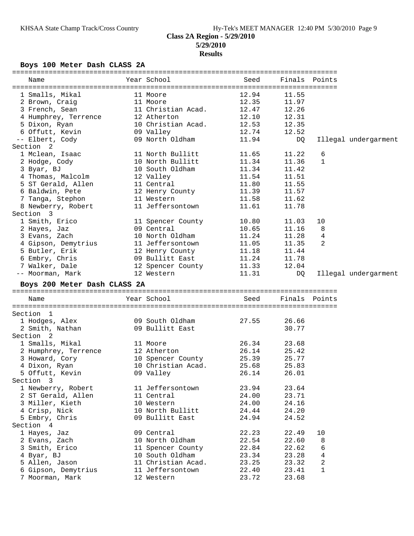## **Boys 100 Meter Dash CLASS 2A**

| Name                             | Year School        | Seed           |                | Finals Points |                      |
|----------------------------------|--------------------|----------------|----------------|---------------|----------------------|
| 1 Smalls, Mikal                  | 11 Moore           | 12.94          | 11.55          |               |                      |
| 2 Brown, Craig                   | 11 Moore           | 12.35          | 11.97          |               |                      |
| 3 French, Sean                   | 11 Christian Acad. | 12.47          | 12.26          |               |                      |
| 4 Humphrey, Terrence             | 12 Atherton        | 12.10          | 12.31          |               |                      |
| 5 Dixon, Ryan                    | 10 Christian Acad. | 12.53          | 12.35          |               |                      |
| 6 Offutt, Kevin 6 09 Valley      |                    | 12.74          | 12.52          |               |                      |
| -- Elbert, Cody                  | 09 North Oldham    | 11.94          | DQ             |               | Illegal undergarment |
| Section <sub>2</sub>             |                    |                |                |               |                      |
| 1 Mclean, Isaac                  | 11 North Bullitt   | 11.65          | 11.22          | 6             |                      |
|                                  | 10 North Bullitt   | 11.34          | 11.36          |               |                      |
| 2 Hodge, Cody                    |                    |                |                | 1             |                      |
| 3 Byar, BJ                       | 10 South Oldham    | 11.34          | 11.42          |               |                      |
| 4 Thomas, Malcolm                | 12 Valley          | 11.54          | 11.51          |               |                      |
| 5 ST Gerald, Allen               | 11 Central         | 11.80          | 11.55          |               |                      |
| 6 Baldwin, Pete                  | 12 Henry County    | 11.39          | 11.57          |               |                      |
| 7 Tanga, Stephon                 | 11 Western         | 11.58          | 11.62          |               |                      |
| 8 Newberry, Robert               | 11 Jeffersontown   | 11.61          | 11.78          |               |                      |
| Section 3                        |                    |                |                |               |                      |
| 1 Smith, Erico                   | 11 Spencer County  | 10.80          | 11.03          | 10            |                      |
| 2 Hayes, Jaz                     | 09 Central         | 10.65          | 11.16          | 8             |                      |
| 3 Evans, Zach                    | 10 North Oldham    | 11.24          | 11.28          | 4             |                      |
| 4 Gipson, Demytrius              | 11 Jeffersontown   | 11.05          | 11.35          | 2             |                      |
| 5 Butler, Erik                   | 12 Henry County    | 11.18          | 11.44          |               |                      |
| 6 Embry, Chris                   | 09 Bullitt East    | 11.24          | 11.78          |               |                      |
| 7 Walker, Dale                   | 12 Spencer County  | 11.33          | 12.04          |               |                      |
| -- Moorman, Mark                 | 12 Western         | 11.31          | DQ             |               | Illegal undergarment |
| Boys 200 Meter Dash CLASS 2A     |                    |                |                |               |                      |
| Name                             | Year School        | Seed           |                | Finals Points |                      |
| Section 1                        |                    |                |                |               |                      |
| 1 Hodges, Alex                   | 09 South Oldham    | 27.55          | 26.66          |               |                      |
| 2 Smith, Nathan                  | 09 Bullitt East    |                | 30.77          |               |                      |
| Section 2                        |                    |                |                |               |                      |
|                                  |                    | 26.34          | 23.68          |               |                      |
| 1 Smalls, Mikal                  | 11 Moore           |                |                |               |                      |
| 2 Humphrey, Terrence 12 Atherton |                    | 26.14          | 25.42          |               |                      |
| 3 Howard, Cory 10 Spencer County | 10 Christian Acad. | 25.39          | 25.77          |               |                      |
| 4 Dixon, Ryan                    |                    | 25.68          | 25.83          |               |                      |
| 5 Offutt, Kevin                  | 09 Valley          | 26.14          | 26.01          |               |                      |
| Section 3                        |                    |                |                |               |                      |
| 1 Newberry, Robert               | 11 Jeffersontown   | 23.94          | 23.64          |               |                      |
| 2 ST Gerald, Allen               | 11 Central         | 24.00          | 23.71          |               |                      |
| 3 Miller, Kieth                  | 10 Western         | 24.00          | 24.16          |               |                      |
| 4 Crisp, Nick                    | 10 North Bullitt   | 24.44          | 24.20          |               |                      |
| 5 Embry, Chris                   | 09 Bullitt East    | 24.94          | 24.52          |               |                      |
| Section 4                        |                    |                |                |               |                      |
| 1 Hayes, Jaz                     | 09 Central         | 22.23          | 22.49          | 10            |                      |
| 2 Evans, Zach                    | 10 North Oldham    | 22.54          | 22.60          | 8             |                      |
| 3 Smith, Erico                   | 11 Spencer County  | 22.84          | 22.62          | 6             |                      |
| 4 Byar, BJ                       | 10 South Oldham    | 23.34          | 23.28          | 4             |                      |
| 5 Allen, Jason                   | 11 Christian Acad. | 23.25          | 23.32          | $\sqrt{2}$    |                      |
| 6 Gipson, Demytrius              |                    |                |                |               |                      |
| 7 Moorman, Mark                  | 11 Jeffersontown   | 22.40<br>23.72 | 23.41<br>23.68 | 1             |                      |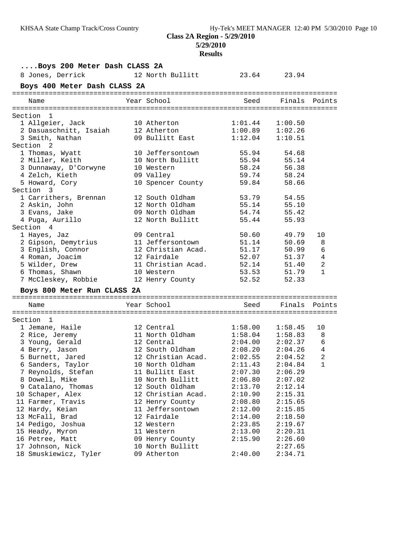## **Results**

| 8 Jones, Derrick<br>12 North Bullitt<br>23.64 23.94<br>Boys 400 Meter Dash CLASS 2A<br>Year School<br>Seed<br>Finals Points<br>Name<br>Section 1<br>$1:01.44$<br>$1:00.89$<br>1 Allgeier, Jack<br>10 Atherton<br>1:00.50<br>2 Dasuaschnitt, Isaiah<br>12 Atherton<br>1:02.26<br>1:12.04<br>3 Smith, Nathan<br>09 Bullitt East<br>1:10.51<br>Section 2<br>10 Jeffersontown<br>54.68<br>1 Thomas, Wyatt<br>55.94<br>2 Miller, Keith<br>10 North Bullitt<br>55.94<br>55.14<br>3 Dunnaway, D'Corwyne<br>58.24<br>56.38<br>10 Western<br>4 Zelch, Kieth<br>09 Valley<br>59.74<br>58.24<br>5 Howard, Cory<br>10 Spencer County<br>59.84<br>58.66<br>Section 3<br>12 South Oldham<br>53.79<br>54.55<br>1 Carrithers, Brennan<br>12 North Oldham<br>55.14<br>55.10<br>2 Askin, John<br>3 Evans, Jake<br>09 North Oldham<br>54.74<br>55.42<br>4 Puga, Aurillo<br>12 North Bullitt<br>55.44<br>55.93<br>Section 4<br>50.60<br>1 Hayes, Jaz<br>09 Central<br>49.79<br>10<br>2 Gipson, Demytrius<br>11 Jeffersontown<br>51.14<br>50.69<br>8<br>6<br>3 English, Connor<br>12 Christian Acad.<br>51.17<br>50.99<br>$\overline{4}$<br>4 Roman, Joacim<br>12 Fairdale<br>52.07<br>51.37<br>$\overline{2}$<br>5 Wilder, Drew<br>11 Christian Acad.<br>52.14<br>51.40<br>6 Thomas, Shawn<br>$\mathbf{1}$<br>53.53<br>51.79<br>10 Western<br>52.52<br>7 McCleskey, Robbie<br>52.33<br>12 Henry County<br>Boys 800 Meter Run CLASS 2A<br>Year School<br>Finals Points<br>Seed<br>Name<br>Section 1<br>1 Jemane, Haile<br>12 Central<br>1:58.00<br>1:58.45<br>10<br>11 North Oldham<br>2 Rice, Jeremy<br>1:58.04<br>1:58.83<br>8<br>6<br>3 Young, Gerald<br>12 Central<br>2:04.00 2:02.37<br>2:08.20 2:04.26<br>$\overline{4}$<br>12 South Oldham<br>4 Berry, Jason<br>2:02.55<br>$\overline{2}$<br>5 Burnett, Jared<br>12 Christian Acad.<br>2:04.52<br>$\mathbf 1$<br>6 Sanders, Taylor<br>10 North Oldham<br>2:11.43<br>2:04.84<br>7 Reynolds, Stefan<br>11 Bullitt East<br>2:07.30<br>2:06.29<br>10 North Bullitt<br>2:06.80<br>8 Dowell, Mike<br>2:07.02<br>9 Catalano, Thomas<br>12 South Oldham<br>2:13.70<br>2:12.14<br>10 Schaper, Alex<br>12 Christian Acad.<br>2:15.31<br>2:10.90<br>11 Farmer, Travis<br>12 Henry County<br>2:08.80<br>2:15.65 | Boys 200 Meter Dash CLASS 2A |  |  |         |         |  |  |  |  |  |  |  |
|---------------------------------------------------------------------------------------------------------------------------------------------------------------------------------------------------------------------------------------------------------------------------------------------------------------------------------------------------------------------------------------------------------------------------------------------------------------------------------------------------------------------------------------------------------------------------------------------------------------------------------------------------------------------------------------------------------------------------------------------------------------------------------------------------------------------------------------------------------------------------------------------------------------------------------------------------------------------------------------------------------------------------------------------------------------------------------------------------------------------------------------------------------------------------------------------------------------------------------------------------------------------------------------------------------------------------------------------------------------------------------------------------------------------------------------------------------------------------------------------------------------------------------------------------------------------------------------------------------------------------------------------------------------------------------------------------------------------------------------------------------------------------------------------------------------------------------------------------------------------------------------------------------------------------------------------------------------------------------------------------------------------------------------------------------------------------------------------------------------------------------------------------------------------------------------------------------------------------------------|------------------------------|--|--|---------|---------|--|--|--|--|--|--|--|
|                                                                                                                                                                                                                                                                                                                                                                                                                                                                                                                                                                                                                                                                                                                                                                                                                                                                                                                                                                                                                                                                                                                                                                                                                                                                                                                                                                                                                                                                                                                                                                                                                                                                                                                                                                                                                                                                                                                                                                                                                                                                                                                                                                                                                                       |                              |  |  |         |         |  |  |  |  |  |  |  |
|                                                                                                                                                                                                                                                                                                                                                                                                                                                                                                                                                                                                                                                                                                                                                                                                                                                                                                                                                                                                                                                                                                                                                                                                                                                                                                                                                                                                                                                                                                                                                                                                                                                                                                                                                                                                                                                                                                                                                                                                                                                                                                                                                                                                                                       |                              |  |  |         |         |  |  |  |  |  |  |  |
|                                                                                                                                                                                                                                                                                                                                                                                                                                                                                                                                                                                                                                                                                                                                                                                                                                                                                                                                                                                                                                                                                                                                                                                                                                                                                                                                                                                                                                                                                                                                                                                                                                                                                                                                                                                                                                                                                                                                                                                                                                                                                                                                                                                                                                       |                              |  |  |         |         |  |  |  |  |  |  |  |
|                                                                                                                                                                                                                                                                                                                                                                                                                                                                                                                                                                                                                                                                                                                                                                                                                                                                                                                                                                                                                                                                                                                                                                                                                                                                                                                                                                                                                                                                                                                                                                                                                                                                                                                                                                                                                                                                                                                                                                                                                                                                                                                                                                                                                                       |                              |  |  |         |         |  |  |  |  |  |  |  |
|                                                                                                                                                                                                                                                                                                                                                                                                                                                                                                                                                                                                                                                                                                                                                                                                                                                                                                                                                                                                                                                                                                                                                                                                                                                                                                                                                                                                                                                                                                                                                                                                                                                                                                                                                                                                                                                                                                                                                                                                                                                                                                                                                                                                                                       |                              |  |  |         |         |  |  |  |  |  |  |  |
|                                                                                                                                                                                                                                                                                                                                                                                                                                                                                                                                                                                                                                                                                                                                                                                                                                                                                                                                                                                                                                                                                                                                                                                                                                                                                                                                                                                                                                                                                                                                                                                                                                                                                                                                                                                                                                                                                                                                                                                                                                                                                                                                                                                                                                       |                              |  |  |         |         |  |  |  |  |  |  |  |
|                                                                                                                                                                                                                                                                                                                                                                                                                                                                                                                                                                                                                                                                                                                                                                                                                                                                                                                                                                                                                                                                                                                                                                                                                                                                                                                                                                                                                                                                                                                                                                                                                                                                                                                                                                                                                                                                                                                                                                                                                                                                                                                                                                                                                                       |                              |  |  |         |         |  |  |  |  |  |  |  |
|                                                                                                                                                                                                                                                                                                                                                                                                                                                                                                                                                                                                                                                                                                                                                                                                                                                                                                                                                                                                                                                                                                                                                                                                                                                                                                                                                                                                                                                                                                                                                                                                                                                                                                                                                                                                                                                                                                                                                                                                                                                                                                                                                                                                                                       |                              |  |  |         |         |  |  |  |  |  |  |  |
|                                                                                                                                                                                                                                                                                                                                                                                                                                                                                                                                                                                                                                                                                                                                                                                                                                                                                                                                                                                                                                                                                                                                                                                                                                                                                                                                                                                                                                                                                                                                                                                                                                                                                                                                                                                                                                                                                                                                                                                                                                                                                                                                                                                                                                       |                              |  |  |         |         |  |  |  |  |  |  |  |
|                                                                                                                                                                                                                                                                                                                                                                                                                                                                                                                                                                                                                                                                                                                                                                                                                                                                                                                                                                                                                                                                                                                                                                                                                                                                                                                                                                                                                                                                                                                                                                                                                                                                                                                                                                                                                                                                                                                                                                                                                                                                                                                                                                                                                                       |                              |  |  |         |         |  |  |  |  |  |  |  |
|                                                                                                                                                                                                                                                                                                                                                                                                                                                                                                                                                                                                                                                                                                                                                                                                                                                                                                                                                                                                                                                                                                                                                                                                                                                                                                                                                                                                                                                                                                                                                                                                                                                                                                                                                                                                                                                                                                                                                                                                                                                                                                                                                                                                                                       |                              |  |  |         |         |  |  |  |  |  |  |  |
|                                                                                                                                                                                                                                                                                                                                                                                                                                                                                                                                                                                                                                                                                                                                                                                                                                                                                                                                                                                                                                                                                                                                                                                                                                                                                                                                                                                                                                                                                                                                                                                                                                                                                                                                                                                                                                                                                                                                                                                                                                                                                                                                                                                                                                       |                              |  |  |         |         |  |  |  |  |  |  |  |
|                                                                                                                                                                                                                                                                                                                                                                                                                                                                                                                                                                                                                                                                                                                                                                                                                                                                                                                                                                                                                                                                                                                                                                                                                                                                                                                                                                                                                                                                                                                                                                                                                                                                                                                                                                                                                                                                                                                                                                                                                                                                                                                                                                                                                                       |                              |  |  |         |         |  |  |  |  |  |  |  |
|                                                                                                                                                                                                                                                                                                                                                                                                                                                                                                                                                                                                                                                                                                                                                                                                                                                                                                                                                                                                                                                                                                                                                                                                                                                                                                                                                                                                                                                                                                                                                                                                                                                                                                                                                                                                                                                                                                                                                                                                                                                                                                                                                                                                                                       |                              |  |  |         |         |  |  |  |  |  |  |  |
|                                                                                                                                                                                                                                                                                                                                                                                                                                                                                                                                                                                                                                                                                                                                                                                                                                                                                                                                                                                                                                                                                                                                                                                                                                                                                                                                                                                                                                                                                                                                                                                                                                                                                                                                                                                                                                                                                                                                                                                                                                                                                                                                                                                                                                       |                              |  |  |         |         |  |  |  |  |  |  |  |
|                                                                                                                                                                                                                                                                                                                                                                                                                                                                                                                                                                                                                                                                                                                                                                                                                                                                                                                                                                                                                                                                                                                                                                                                                                                                                                                                                                                                                                                                                                                                                                                                                                                                                                                                                                                                                                                                                                                                                                                                                                                                                                                                                                                                                                       |                              |  |  |         |         |  |  |  |  |  |  |  |
|                                                                                                                                                                                                                                                                                                                                                                                                                                                                                                                                                                                                                                                                                                                                                                                                                                                                                                                                                                                                                                                                                                                                                                                                                                                                                                                                                                                                                                                                                                                                                                                                                                                                                                                                                                                                                                                                                                                                                                                                                                                                                                                                                                                                                                       |                              |  |  |         |         |  |  |  |  |  |  |  |
|                                                                                                                                                                                                                                                                                                                                                                                                                                                                                                                                                                                                                                                                                                                                                                                                                                                                                                                                                                                                                                                                                                                                                                                                                                                                                                                                                                                                                                                                                                                                                                                                                                                                                                                                                                                                                                                                                                                                                                                                                                                                                                                                                                                                                                       |                              |  |  |         |         |  |  |  |  |  |  |  |
|                                                                                                                                                                                                                                                                                                                                                                                                                                                                                                                                                                                                                                                                                                                                                                                                                                                                                                                                                                                                                                                                                                                                                                                                                                                                                                                                                                                                                                                                                                                                                                                                                                                                                                                                                                                                                                                                                                                                                                                                                                                                                                                                                                                                                                       |                              |  |  |         |         |  |  |  |  |  |  |  |
|                                                                                                                                                                                                                                                                                                                                                                                                                                                                                                                                                                                                                                                                                                                                                                                                                                                                                                                                                                                                                                                                                                                                                                                                                                                                                                                                                                                                                                                                                                                                                                                                                                                                                                                                                                                                                                                                                                                                                                                                                                                                                                                                                                                                                                       |                              |  |  |         |         |  |  |  |  |  |  |  |
|                                                                                                                                                                                                                                                                                                                                                                                                                                                                                                                                                                                                                                                                                                                                                                                                                                                                                                                                                                                                                                                                                                                                                                                                                                                                                                                                                                                                                                                                                                                                                                                                                                                                                                                                                                                                                                                                                                                                                                                                                                                                                                                                                                                                                                       |                              |  |  |         |         |  |  |  |  |  |  |  |
|                                                                                                                                                                                                                                                                                                                                                                                                                                                                                                                                                                                                                                                                                                                                                                                                                                                                                                                                                                                                                                                                                                                                                                                                                                                                                                                                                                                                                                                                                                                                                                                                                                                                                                                                                                                                                                                                                                                                                                                                                                                                                                                                                                                                                                       |                              |  |  |         |         |  |  |  |  |  |  |  |
|                                                                                                                                                                                                                                                                                                                                                                                                                                                                                                                                                                                                                                                                                                                                                                                                                                                                                                                                                                                                                                                                                                                                                                                                                                                                                                                                                                                                                                                                                                                                                                                                                                                                                                                                                                                                                                                                                                                                                                                                                                                                                                                                                                                                                                       |                              |  |  |         |         |  |  |  |  |  |  |  |
|                                                                                                                                                                                                                                                                                                                                                                                                                                                                                                                                                                                                                                                                                                                                                                                                                                                                                                                                                                                                                                                                                                                                                                                                                                                                                                                                                                                                                                                                                                                                                                                                                                                                                                                                                                                                                                                                                                                                                                                                                                                                                                                                                                                                                                       |                              |  |  |         |         |  |  |  |  |  |  |  |
|                                                                                                                                                                                                                                                                                                                                                                                                                                                                                                                                                                                                                                                                                                                                                                                                                                                                                                                                                                                                                                                                                                                                                                                                                                                                                                                                                                                                                                                                                                                                                                                                                                                                                                                                                                                                                                                                                                                                                                                                                                                                                                                                                                                                                                       |                              |  |  |         |         |  |  |  |  |  |  |  |
|                                                                                                                                                                                                                                                                                                                                                                                                                                                                                                                                                                                                                                                                                                                                                                                                                                                                                                                                                                                                                                                                                                                                                                                                                                                                                                                                                                                                                                                                                                                                                                                                                                                                                                                                                                                                                                                                                                                                                                                                                                                                                                                                                                                                                                       |                              |  |  |         |         |  |  |  |  |  |  |  |
|                                                                                                                                                                                                                                                                                                                                                                                                                                                                                                                                                                                                                                                                                                                                                                                                                                                                                                                                                                                                                                                                                                                                                                                                                                                                                                                                                                                                                                                                                                                                                                                                                                                                                                                                                                                                                                                                                                                                                                                                                                                                                                                                                                                                                                       |                              |  |  |         |         |  |  |  |  |  |  |  |
|                                                                                                                                                                                                                                                                                                                                                                                                                                                                                                                                                                                                                                                                                                                                                                                                                                                                                                                                                                                                                                                                                                                                                                                                                                                                                                                                                                                                                                                                                                                                                                                                                                                                                                                                                                                                                                                                                                                                                                                                                                                                                                                                                                                                                                       |                              |  |  |         |         |  |  |  |  |  |  |  |
|                                                                                                                                                                                                                                                                                                                                                                                                                                                                                                                                                                                                                                                                                                                                                                                                                                                                                                                                                                                                                                                                                                                                                                                                                                                                                                                                                                                                                                                                                                                                                                                                                                                                                                                                                                                                                                                                                                                                                                                                                                                                                                                                                                                                                                       |                              |  |  |         |         |  |  |  |  |  |  |  |
|                                                                                                                                                                                                                                                                                                                                                                                                                                                                                                                                                                                                                                                                                                                                                                                                                                                                                                                                                                                                                                                                                                                                                                                                                                                                                                                                                                                                                                                                                                                                                                                                                                                                                                                                                                                                                                                                                                                                                                                                                                                                                                                                                                                                                                       |                              |  |  |         |         |  |  |  |  |  |  |  |
|                                                                                                                                                                                                                                                                                                                                                                                                                                                                                                                                                                                                                                                                                                                                                                                                                                                                                                                                                                                                                                                                                                                                                                                                                                                                                                                                                                                                                                                                                                                                                                                                                                                                                                                                                                                                                                                                                                                                                                                                                                                                                                                                                                                                                                       |                              |  |  |         |         |  |  |  |  |  |  |  |
|                                                                                                                                                                                                                                                                                                                                                                                                                                                                                                                                                                                                                                                                                                                                                                                                                                                                                                                                                                                                                                                                                                                                                                                                                                                                                                                                                                                                                                                                                                                                                                                                                                                                                                                                                                                                                                                                                                                                                                                                                                                                                                                                                                                                                                       |                              |  |  |         |         |  |  |  |  |  |  |  |
|                                                                                                                                                                                                                                                                                                                                                                                                                                                                                                                                                                                                                                                                                                                                                                                                                                                                                                                                                                                                                                                                                                                                                                                                                                                                                                                                                                                                                                                                                                                                                                                                                                                                                                                                                                                                                                                                                                                                                                                                                                                                                                                                                                                                                                       |                              |  |  |         |         |  |  |  |  |  |  |  |
|                                                                                                                                                                                                                                                                                                                                                                                                                                                                                                                                                                                                                                                                                                                                                                                                                                                                                                                                                                                                                                                                                                                                                                                                                                                                                                                                                                                                                                                                                                                                                                                                                                                                                                                                                                                                                                                                                                                                                                                                                                                                                                                                                                                                                                       |                              |  |  |         |         |  |  |  |  |  |  |  |
|                                                                                                                                                                                                                                                                                                                                                                                                                                                                                                                                                                                                                                                                                                                                                                                                                                                                                                                                                                                                                                                                                                                                                                                                                                                                                                                                                                                                                                                                                                                                                                                                                                                                                                                                                                                                                                                                                                                                                                                                                                                                                                                                                                                                                                       |                              |  |  |         |         |  |  |  |  |  |  |  |
|                                                                                                                                                                                                                                                                                                                                                                                                                                                                                                                                                                                                                                                                                                                                                                                                                                                                                                                                                                                                                                                                                                                                                                                                                                                                                                                                                                                                                                                                                                                                                                                                                                                                                                                                                                                                                                                                                                                                                                                                                                                                                                                                                                                                                                       |                              |  |  |         |         |  |  |  |  |  |  |  |
|                                                                                                                                                                                                                                                                                                                                                                                                                                                                                                                                                                                                                                                                                                                                                                                                                                                                                                                                                                                                                                                                                                                                                                                                                                                                                                                                                                                                                                                                                                                                                                                                                                                                                                                                                                                                                                                                                                                                                                                                                                                                                                                                                                                                                                       |                              |  |  |         |         |  |  |  |  |  |  |  |
|                                                                                                                                                                                                                                                                                                                                                                                                                                                                                                                                                                                                                                                                                                                                                                                                                                                                                                                                                                                                                                                                                                                                                                                                                                                                                                                                                                                                                                                                                                                                                                                                                                                                                                                                                                                                                                                                                                                                                                                                                                                                                                                                                                                                                                       |                              |  |  |         |         |  |  |  |  |  |  |  |
|                                                                                                                                                                                                                                                                                                                                                                                                                                                                                                                                                                                                                                                                                                                                                                                                                                                                                                                                                                                                                                                                                                                                                                                                                                                                                                                                                                                                                                                                                                                                                                                                                                                                                                                                                                                                                                                                                                                                                                                                                                                                                                                                                                                                                                       |                              |  |  |         |         |  |  |  |  |  |  |  |
|                                                                                                                                                                                                                                                                                                                                                                                                                                                                                                                                                                                                                                                                                                                                                                                                                                                                                                                                                                                                                                                                                                                                                                                                                                                                                                                                                                                                                                                                                                                                                                                                                                                                                                                                                                                                                                                                                                                                                                                                                                                                                                                                                                                                                                       |                              |  |  |         |         |  |  |  |  |  |  |  |
| 11 Jeffersontown                                                                                                                                                                                                                                                                                                                                                                                                                                                                                                                                                                                                                                                                                                                                                                                                                                                                                                                                                                                                                                                                                                                                                                                                                                                                                                                                                                                                                                                                                                                                                                                                                                                                                                                                                                                                                                                                                                                                                                                                                                                                                                                                                                                                                      | 12 Hardy, Keian              |  |  | 2:12.00 | 2:15.85 |  |  |  |  |  |  |  |
| 12 Fairdale<br>13 McFall, Brad<br>2:14.00<br>2:18.50                                                                                                                                                                                                                                                                                                                                                                                                                                                                                                                                                                                                                                                                                                                                                                                                                                                                                                                                                                                                                                                                                                                                                                                                                                                                                                                                                                                                                                                                                                                                                                                                                                                                                                                                                                                                                                                                                                                                                                                                                                                                                                                                                                                  |                              |  |  |         |         |  |  |  |  |  |  |  |
| 14 Pedigo, Joshua<br>12 Western<br>2:23.85<br>2:19.67                                                                                                                                                                                                                                                                                                                                                                                                                                                                                                                                                                                                                                                                                                                                                                                                                                                                                                                                                                                                                                                                                                                                                                                                                                                                                                                                                                                                                                                                                                                                                                                                                                                                                                                                                                                                                                                                                                                                                                                                                                                                                                                                                                                 |                              |  |  |         |         |  |  |  |  |  |  |  |
| 15 Heady, Myron<br>11 Western<br>2:13.00<br>2:20.31                                                                                                                                                                                                                                                                                                                                                                                                                                                                                                                                                                                                                                                                                                                                                                                                                                                                                                                                                                                                                                                                                                                                                                                                                                                                                                                                                                                                                                                                                                                                                                                                                                                                                                                                                                                                                                                                                                                                                                                                                                                                                                                                                                                   |                              |  |  |         |         |  |  |  |  |  |  |  |
| 09 Henry County<br>2:15.90<br>16 Petree, Matt<br>2:26.60                                                                                                                                                                                                                                                                                                                                                                                                                                                                                                                                                                                                                                                                                                                                                                                                                                                                                                                                                                                                                                                                                                                                                                                                                                                                                                                                                                                                                                                                                                                                                                                                                                                                                                                                                                                                                                                                                                                                                                                                                                                                                                                                                                              |                              |  |  |         |         |  |  |  |  |  |  |  |
| 17 Johnson, Nick<br>10 North Bullitt<br>2:27.65                                                                                                                                                                                                                                                                                                                                                                                                                                                                                                                                                                                                                                                                                                                                                                                                                                                                                                                                                                                                                                                                                                                                                                                                                                                                                                                                                                                                                                                                                                                                                                                                                                                                                                                                                                                                                                                                                                                                                                                                                                                                                                                                                                                       |                              |  |  |         |         |  |  |  |  |  |  |  |
| 2:40.00<br>18 Smuskiewicz, Tyler<br>09 Atherton<br>2:34.71                                                                                                                                                                                                                                                                                                                                                                                                                                                                                                                                                                                                                                                                                                                                                                                                                                                                                                                                                                                                                                                                                                                                                                                                                                                                                                                                                                                                                                                                                                                                                                                                                                                                                                                                                                                                                                                                                                                                                                                                                                                                                                                                                                            |                              |  |  |         |         |  |  |  |  |  |  |  |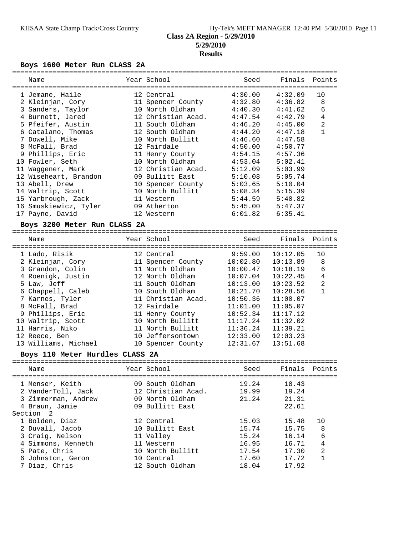#### KHSAA State Champ Track/Cross Country Hy-Tek's MEET MANAGER 12:40 PM 5/30/2010 Page 11 **Class 2A Region - 5/29/2010 5/29/2010 Results**

#### **Boys 1600 Meter Run CLASS 2A**

| Name                               | Year School                     | Seed                | Finals Points       |                |
|------------------------------------|---------------------------------|---------------------|---------------------|----------------|
| 1 Jemane, Haile                    | 12 Central                      | 4:30.00             | 4:32.09             | 10             |
| 2 Kleinjan, Cory                   | 11 Spencer County               |                     | $4:32.80$ $4:36.82$ | 8              |
| 3 Sanders, Taylor                  | 10 North Oldham 4:40.30 4:41.62 |                     |                     | 6              |
| 4 Burnett, Jared                   | 12 Christian Acad.              | 4:47.54             | 4:42.79             | $\overline{4}$ |
| 5 Pfeifer, Austin                  | 11 South Oldham 4:46.20 4:45.00 |                     |                     | $\overline{2}$ |
| 6 Catalano, Thomas                 | 12 South Oldham                 | 4:44.20             | 4:47.18             | $\mathbf{1}$   |
| 7 Dowell, Mike                     | 10 North Bullitt                | 4:46.60             | 4:47.58             |                |
| 8 McFall, Brad                     | 12 Fairdale                     | 4:50.00             | 4:50.77             |                |
| 9 Phillips, Eric                   | 11 Henry County                 | 4:54.15             | 4:57.36             |                |
| 10 Fowler, Seth                    | 10 North Oldham                 | 4:53.04             | 5:02.41             |                |
| 11 Waqqener, Mark                  | 12 Christian Acad.              | 5:12.09             | 5:03.99             |                |
| 12 Wiseheart, Brandon              | 09 Bullitt East 5:10.08         |                     | 5:05.74             |                |
| 13 Abell, Drew                     | 10 Spencer County               | 5:03.65             | 5:10.04             |                |
| 14 Waltrip, Scott                  | 10 North Bullitt                | 5:08.34             | 5:15.39             |                |
| 15 Yarbrough, Zack                 | 11 Western                      | 5:44.59             | 5:40.82             |                |
| 16 Smuskiewicz, Tyler              | 09 Atherton                     | 5:45.00             | 5:47.37             |                |
| 17 Payne, David                    | 12 Western                      | $6:01.82$ $6:35.41$ |                     |                |
| Boys 3200 Meter Run CLASS 2A       |                                 |                     |                     |                |
| Name<br>-------------------------- | Year School                     | Seed                | Finals Points       |                |

| 1 Lado, Risik        | 12 Central         | 9:59.00  | 10:12.05 | 10             |
|----------------------|--------------------|----------|----------|----------------|
| 2 Kleinjan, Cory     | 11 Spencer County  | 10:02.80 | 10:13.89 | 8              |
| 3 Grandon, Colin     | 11 North Oldham    | 10:00.47 | 10:18.19 | 6              |
| 4 Roenigk, Justin    | 12 North Oldham    | 10:07.04 | 10:22.45 | 4              |
| 5 Law, Jeff          | 11 South Oldham    | 10:13.00 | 10:23.52 | $\overline{2}$ |
| 6 Chappell, Caleb    | 10 South Oldham    | 10:21.70 | 10:28.56 |                |
| 7 Karnes, Tyler      | 11 Christian Acad. | 10:50.36 | 11:00.07 |                |
| 8 McFall, Brad       | 12 Fairdale        | 11:01.00 | 11:05.07 |                |
| 9 Phillips, Eric     | 11 Henry County    | 10:52.34 | 11:17.12 |                |
| 10 Waltrip, Scott    | 10 North Bullitt   | 11:17.24 | 11:32.02 |                |
| 11 Harris, Niko      | 11 North Bullitt   | 11:36.24 | 11:39.21 |                |
| 12 Reece, Ben        | 10 Jeffersontown   | 12:33.00 | 12:03.23 |                |
| 13 Williams, Michael | 10 Spencer County  | 12:31.67 | 13:51.68 |                |

#### **Boys 110 Meter Hurdles CLASS 2A**

| Name                                                                           | Year School                                                                 | Seed                    | Finals Points                    |                     |
|--------------------------------------------------------------------------------|-----------------------------------------------------------------------------|-------------------------|----------------------------------|---------------------|
| 1 Menser, Keith<br>2 VanderToll, Jack<br>3 Zimmerman, Andrew<br>4 Braun, Jamie | 09 South Oldham<br>12 Christian Acad.<br>09 North Oldham<br>09 Bullitt East | 19.24<br>19.99<br>21.24 | 18.43<br>19.24<br>21.31<br>22.61 |                     |
| Section 2                                                                      |                                                                             |                         |                                  |                     |
| 1 Bolden, Diaz<br>2 Duvall, Jacob                                              | 12 Central<br>10 Bullitt East                                               | 15.03<br>15.74          | 15.48<br>15.75                   | 10<br>8             |
| 3 Craig, Nelson<br>4 Simmons, Kenneth                                          | 11 Valley<br>11 Western                                                     | 15.24<br>16.95          | 16.14<br>16.71                   | 6<br>4              |
| 5 Pate, Chris<br>6 Johnston, Geron<br>7 Diaz, Chris                            | 10 North Bullitt<br>10 Central<br>12 South Oldham                           | 17.54<br>17.60<br>18.04 | 17.30<br>17.72<br>17.92          | $\overline{2}$<br>1 |
|                                                                                |                                                                             |                         |                                  |                     |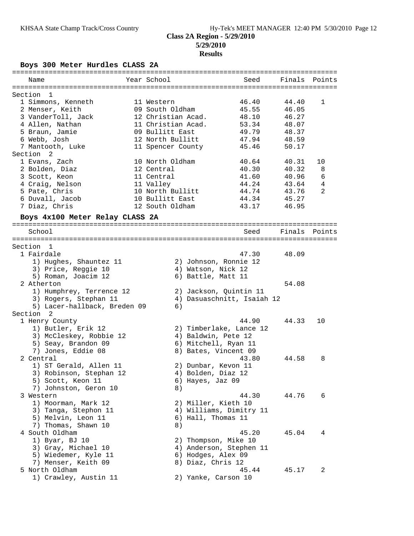## **Boys 300 Meter Hurdles CLASS 2A**

| Name                                              | Year School                           |                        | Seed                       | Finals Points  |    |
|---------------------------------------------------|---------------------------------------|------------------------|----------------------------|----------------|----|
|                                                   |                                       |                        |                            |                |    |
| Section<br>1                                      |                                       |                        |                            |                |    |
| 1 Simmons, Kenneth                                | 11 Western                            |                        | 46.40                      | 44.40          | 1  |
| 2 Menser, Keith<br>3 VanderToll, Jack             | 09 South Oldham<br>12 Christian Acad. |                        | 45.55<br>48.10             | 46.05<br>46.27 |    |
| 4 Allen, Nathan                                   | 11 Christian Acad.                    |                        | 53.34                      | 48.07          |    |
| 5 Braun, Jamie                                    | 09 Bullitt East                       |                        | 49.79                      | 48.37          |    |
| 6 Webb, Josh                                      | 12 North Bullitt                      |                        | 47.94                      | 48.59          |    |
| 7 Mantooth, Luke                                  | 11 Spencer County                     |                        | 45.46                      | 50.17          |    |
| Section <sub>2</sub>                              |                                       |                        |                            |                |    |
| 1 Evans, Zach                                     | 10 North Oldham                       |                        | 40.64                      | 40.31          | 10 |
| 2 Bolden, Diaz                                    | 12 Central                            |                        | 40.30                      | 40.32          | 8  |
| 3 Scott, Keon                                     | 11 Central                            |                        | 41.60                      | 40.96          | 6  |
| 4 Craig, Nelson                                   | 11 Valley                             |                        | 44.24                      | 43.64          | 4  |
| 5 Pate, Chris                                     | 10 North Bullitt                      |                        | 44.74                      | 43.76          | 2  |
| 6 Duvall, Jacob                                   | 10 Bullitt East                       |                        | 44.34                      | 45.27          |    |
| 7 Diaz, Chris                                     | 12 South Oldham                       |                        | 43.17                      | 46.95          |    |
| Boys 4x100 Meter Relay CLASS 2A                   |                                       |                        |                            |                |    |
|                                                   |                                       |                        |                            |                |    |
| School                                            |                                       |                        | Seed                       | Finals Points  |    |
|                                                   |                                       |                        |                            |                |    |
| Section 1                                         |                                       |                        |                            |                |    |
| 1 Fairdale                                        |                                       |                        | 47.30                      | 48.09          |    |
| 1) Hughes, Shauntez 11                            |                                       | 2) Johnson, Ronnie 12  |                            |                |    |
| 3) Price, Reggie 10                               |                                       | 4) Watson, Nick 12     |                            |                |    |
| 5) Roman, Joacim 12<br>2 Atherton                 |                                       | 6) Battle, Matt 11     |                            | 54.08          |    |
|                                                   |                                       |                        |                            |                |    |
| 1) Humphrey, Terrence 12<br>3) Rogers, Stephan 11 |                                       | 2) Jackson, Quintin 11 | 4) Dasuaschnitt, Isaiah 12 |                |    |
| 5) Lacer-hallback, Breden 09                      | 6)                                    |                        |                            |                |    |
| Section 2                                         |                                       |                        |                            |                |    |
| 1 Henry County                                    |                                       |                        | 44.90                      | 44.33          | 10 |
| 1) Butler, Erik 12                                |                                       |                        | 2) Timberlake, Lance 12    |                |    |
| 3) McCleskey, Robbie 12                           |                                       | 4) Baldwin, Pete 12    |                            |                |    |
| 5) Seay, Brandon 09                               |                                       | 6) Mitchell, Ryan 11   |                            |                |    |
| 7) Jones, Eddie 08                                |                                       | 8) Bates, Vincent 09   |                            |                |    |
| 2 Central                                         |                                       |                        | 43.80                      | 44.58          | 8  |
| 1) ST Gerald, Allen 11                            |                                       | 2) Dunbar, Kevon 11    |                            |                |    |
| 3) Robinson, Stephan 12                           |                                       | 4) Bolden, Diaz 12     |                            |                |    |
| 5) Scott, Keon 11                                 |                                       | 6) Hayes, Jaz 09       |                            |                |    |
| 7) Johnston, Geron 10                             | 8)                                    |                        |                            |                |    |
| 3 Western                                         |                                       |                        | 44.30                      | 44.76          | 6  |
| 1) Moorman, Mark 12                               |                                       | 2) Miller, Kieth 10    |                            |                |    |
| 3) Tanga, Stephon 11                              |                                       |                        | 4) Williams, Dimitry 11    |                |    |
| 5) Melvin, Leon 11                                |                                       | 6) Hall, Thomas 11     |                            |                |    |
| 7) Thomas, Shawn 10                               | 8)                                    |                        |                            |                |    |
| 4 South Oldham                                    |                                       |                        | 45.20                      | 45.04          | 4  |
| 1) Byar, BJ 10                                    |                                       | 2) Thompson, Mike 10   |                            |                |    |
| 3) Gray, Michael 10                               |                                       |                        | 4) Anderson, Stephen 11    |                |    |
| 5) Wiedemer, Kyle 11                              |                                       | 6) Hodges, Alex 09     |                            |                |    |
| 7) Menser, Keith 09                               |                                       | 8) Diaz, Chris 12      |                            |                |    |
| 5 North Oldham                                    |                                       |                        | 45.44                      | 45.17          | 2  |
| 1) Crawley, Austin 11                             |                                       | 2) Yanke, Carson 10    |                            |                |    |
|                                                   |                                       |                        |                            |                |    |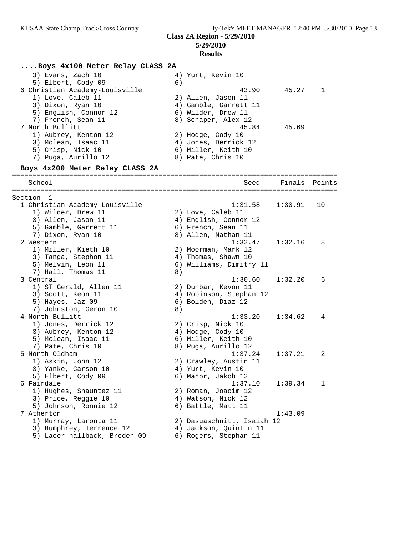**5/29/2010**

#### **Results**

#### **....Boys 4x100 Meter Relay CLASS 2A** 3) Evans, Zach 10 (4) Yurt, Kevin 10 5) Elbert, Cody 09 (6) 6 Christian Academy-Louisville 43.90 45.27 1 1) Love, Caleb 11 2) Allen, Jason 11 3) Dixon, Ryan 10 4) Gamble, Garrett 11 5) English, Connor 12 and 6) Wilder, Drew 11 7) French, Sean 11 and 8) Schaper, Alex 12 7 North Bullitt 45.84 45.69 1) Aubrey, Kenton 12 2) Hodge, Cody 10 3) Mclean, Isaac 11 (4) Jones, Derrick 12 5) Crisp, Nick 10 6) Miller, Keith 10 7) Puga, Aurillo 12 (8) Pate, Chris 10 **Boys 4x200 Meter Relay CLASS 2A** ================================================================================ School Seed Finals Points ================================================================================ Section 1<br>1 Christian Academy-Louisville 1 Christian Academy-Louisville 1:31.58 1:30.91 10 1) Wilder, Drew 11 2) Love, Caleb 11 3) Allen, Jason 11 4) English, Connor 12 5) Gamble, Garrett 11 (6) French, Sean 11 7) Dixon, Ryan 10 8) Allen, Nathan 11 2 Western 1:32.47 1:32.16 8 1) Miller, Kieth 10 2) Moorman, Mark 12 3) Tanga, Stephon 11 4) Thomas, Shawn 10 5) Melvin, Leon 11 6) Williams, Dimitry 11 7) Hall, Thomas 11 (8) 3 Central 1:30.60 1:32.20 6 1) ST Gerald, Allen 11 2) Dunbar, Kevon 11 3) Scott, Keon 11 4) Robinson, Stephan 12 5) Hayes, Jaz 09 6) Bolden, Diaz 12 7) Johnston, Geron 10 8) 4 North Bullitt 1:33.20 1:34.62 4 1) Jones, Derrick 12 2) Crisp, Nick 10 3) Aubrey, Kenton 12 (4) Hodge, Cody 10 5) Mclean, Isaac 11 6) Miller, Keith 10 7) Pate, Chris 10 8) Puga, Aurillo 12 5 North Oldham 1:37.24 1:37.21 2 1) Askin, John 12 2) Crawley, Austin 11 3) Yanke, Carson 10  $\qquad \qquad$  4) Yurt, Kevin 10 5) Elbert, Cody 09 (6) Manor, Jakob 12 6 Fairdale 1:37.10 1:39.34 1 1) Hughes, Shauntez 11 2) Roman, Joacim 12 3) Price, Reggie 10  $4)$  Watson, Nick 12 5) Johnson, Ronnie 12 (6) Battle, Matt 11 7 Atherton 1:43.09 1) Murray, Laronta 11 2) Dasuaschnitt, Isaiah 12 3) Humphrey, Terrence 12 4) Jackson, Quintin 11 5) Lacer-hallback, Breden 09 6) Rogers, Stephan 11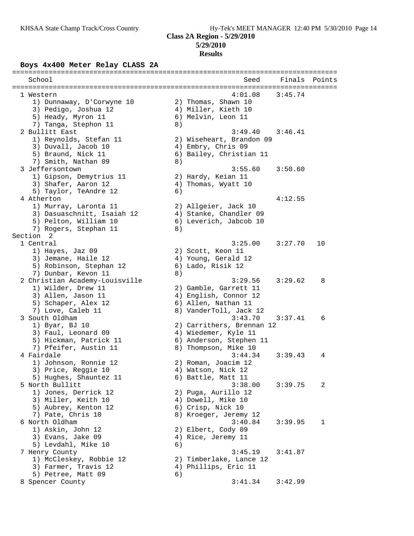## **Boys 4x400 Meter Relay CLASS 2A**

| School                                          |    | Seed                                            | Finals  | Points |
|-------------------------------------------------|----|-------------------------------------------------|---------|--------|
|                                                 |    |                                                 |         |        |
| 1 Western                                       |    | 4:01.08                                         | 3:45.74 |        |
| 1) Dunnaway, D'Corwyne 10                       |    | 2) Thomas, Shawn 10                             |         |        |
| 3) Pedigo, Joshua 12                            |    | 4) Miller, Kieth 10                             |         |        |
| 5) Heady, Myron 11                              |    | 6) Melvin, Leon 11                              |         |        |
| 7) Tanga, Stephon 11                            | 8) |                                                 |         |        |
| 2 Bullitt East                                  |    | 3:49.40                                         | 3:46.41 |        |
| 1) Reynolds, Stefan 11                          |    | 2) Wiseheart, Brandon 09                        |         |        |
| 3) Duvall, Jacob 10                             |    | 4) Embry, Chris 09                              |         |        |
| 5) Braund, Nick 11                              |    | 6) Bailey, Christian 11                         |         |        |
| 7) Smith, Nathan 09                             | 8) |                                                 |         |        |
| 3 Jeffersontown                                 |    | 3:55.60                                         | 3:50.60 |        |
| 1) Gipson, Demytrius 11                         |    | 2) Hardy, Keian 11                              |         |        |
| 3) Shafer, Aaron 12                             |    | 4) Thomas, Wyatt 10                             |         |        |
| 5) Taylor, TeAndre 12                           | 6) |                                                 |         |        |
| 4 Atherton                                      |    |                                                 | 4:12.55 |        |
| 1) Murray, Laronta 11                           |    | 2) Allgeier, Jack 10                            |         |        |
| 3) Dasuaschnitt, Isaiah 12                      |    | 4) Stanke, Chandler 09                          |         |        |
| 5) Pelton, William 10                           |    | 6) Leverich, Jabcob 10                          |         |        |
| 7) Rogers, Stephan 11                           | 8) |                                                 |         |        |
| Section <sub>2</sub>                            |    |                                                 |         |        |
| 1 Central                                       |    | 3:25.00                                         | 3:27.70 | 10     |
| 1) Hayes, Jaz 09                                |    | 2) Scott, Keon 11                               |         |        |
| 3) Jemane, Haile 12                             |    | 4) Young, Gerald 12                             |         |        |
| 5) Robinson, Stephan 12                         |    | 6) Lado, Risik 12                               |         |        |
| 7) Dunbar, Kevon 11                             | 8) |                                                 |         |        |
| 2 Christian Academy-Louisville                  |    | 3:29.56                                         | 3:29.62 | 8      |
| 1) Wilder, Drew 11                              |    | 2) Gamble, Garrett 11                           |         |        |
| 3) Allen, Jason 11                              |    | 4) English, Connor 12                           |         |        |
| 5) Schaper, Alex 12                             |    | 6) Allen, Nathan 11                             |         |        |
| 7) Love, Caleb 11                               |    | 8) VanderToll, Jack 12                          |         |        |
| 3 South Oldham                                  |    | 3:43.70                                         | 3:37.41 | 6      |
| 1) Byar, BJ 10                                  |    | 2) Carrithers, Brennan 12                       |         |        |
| 3) Faul, Leonard 09                             |    | 4) Wiedemer, Kyle 11                            |         |        |
| 5) Hickman, Patrick 11                          |    | 6) Anderson, Stephen 11                         |         |        |
| 7) Pfeifer, Austin 11                           |    | 8) Thompson, Mike 10                            |         |        |
| 4 Fairdale                                      |    | 3:44.34                                         | 3:39.43 | 4      |
| 1) Johnson, Ronnie 12                           |    | 2) Roman, Joacim 12                             |         |        |
| 3) Price, Reggie 10                             |    | 4) Watson, Nick 12                              |         |        |
| 5) Hughes, Shauntez 11                          |    | 6) Battle, Matt 11                              |         |        |
| 5 North Bullitt                                 |    | 3:38.00                                         | 3:39.75 | 2      |
| 1) Jones, Derrick 12                            |    | 2) Puga, Aurillo 12                             |         |        |
| 3) Miller, Keith 10                             |    | 4) Dowell, Mike 10                              |         |        |
| 5) Aubrey, Kenton 12                            |    | 6) Crisp, Nick 10                               |         |        |
| 7) Pate, Chris 10                               |    | 8) Kroeger, Jeremy 12                           |         |        |
| 6 North Oldham                                  |    | 3:40.84                                         | 3:39.95 | 1      |
| 1) Askin, John 12                               |    | 2) Elbert, Cody 09                              |         |        |
| 3) Evans, Jake 09                               |    | 4) Rice, Jeremy 11                              |         |        |
| 5) Levdahl, Mike 10                             | 6) |                                                 |         |        |
| 7 Henry County                                  |    | 3:45.19                                         | 3:41.87 |        |
| 1) McCleskey, Robbie 12<br>3) Farmer, Travis 12 |    | 2) Timberlake, Lance 12<br>4) Phillips, Eric 11 |         |        |
| 5) Petree, Matt 09                              | 6) |                                                 |         |        |
| 8 Spencer County                                |    | 3:41.34                                         | 3:42.99 |        |
|                                                 |    |                                                 |         |        |